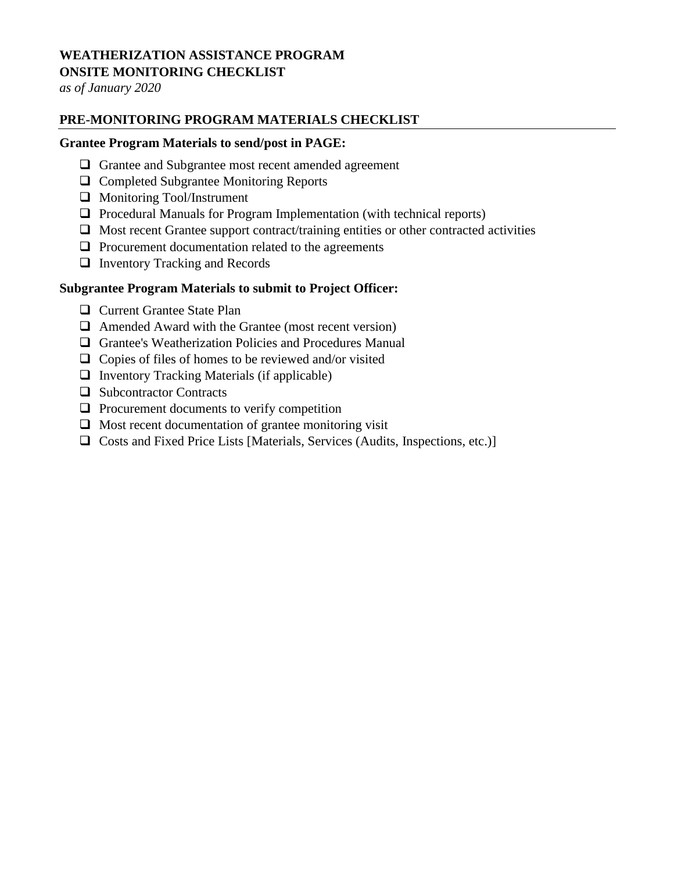## **WEATHERIZATION ASSISTANCE PROGRAM ONSITE MONITORING CHECKLIST**

*as of January 2020*

# **PRE-MONITORING PROGRAM MATERIALS CHECKLIST**

#### **Grantee Program Materials to send/post in PAGE:**

- Grantee and Subgrantee most recent amended agreement
- □ Completed Subgrantee Monitoring Reports
- Monitoring Tool/Instrument
- $\Box$  Procedural Manuals for Program Implementation (with technical reports)
- $\Box$  Most recent Grantee support contract/training entities or other contracted activities
- $\Box$  Procurement documentation related to the agreements
- Inventory Tracking and Records

#### **Subgrantee Program Materials to submit to Project Officer:**

- **Q** Current Grantee State Plan
- $\Box$  Amended Award with the Grantee (most recent version)
- Grantee's Weatherization Policies and Procedures Manual
- $\Box$  Copies of files of homes to be reviewed and/or visited
- $\Box$  Inventory Tracking Materials (if applicable)
- $\Box$  Subcontractor Contracts
- $\Box$  Procurement documents to verify competition
- $\Box$  Most recent documentation of grantee monitoring visit
- Costs and Fixed Price Lists [Materials, Services (Audits, Inspections, etc.)]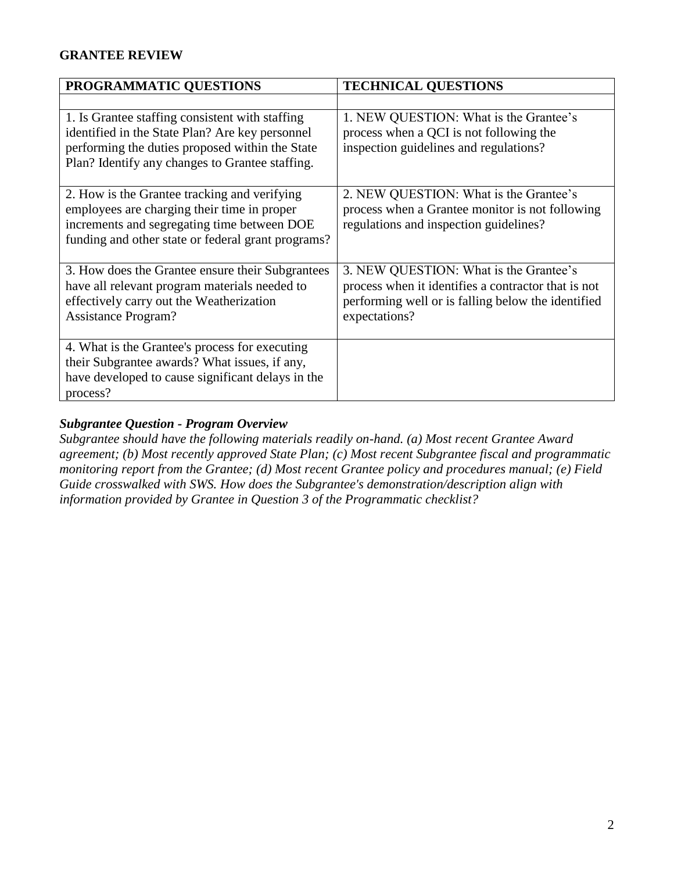## **GRANTEE REVIEW**

| PROGRAMMATIC QUESTIONS                                                                                                                                                                                   | <b>TECHNICAL QUESTIONS</b>                                                                                                                                           |
|----------------------------------------------------------------------------------------------------------------------------------------------------------------------------------------------------------|----------------------------------------------------------------------------------------------------------------------------------------------------------------------|
|                                                                                                                                                                                                          |                                                                                                                                                                      |
| 1. Is Grantee staffing consistent with staffing<br>identified in the State Plan? Are key personnel<br>performing the duties proposed within the State<br>Plan? Identify any changes to Grantee staffing. | 1. NEW QUESTION: What is the Grantee's<br>process when a QCI is not following the<br>inspection guidelines and regulations?                                          |
| 2. How is the Grantee tracking and verifying<br>employees are charging their time in proper<br>increments and segregating time between DOE<br>funding and other state or federal grant programs?         | 2. NEW QUESTION: What is the Grantee's<br>process when a Grantee monitor is not following<br>regulations and inspection guidelines?                                  |
| 3. How does the Grantee ensure their Subgrantees<br>have all relevant program materials needed to<br>effectively carry out the Weatherization<br><b>Assistance Program?</b>                              | 3. NEW QUESTION: What is the Grantee's<br>process when it identifies a contractor that is not<br>performing well or is falling below the identified<br>expectations? |
| 4. What is the Grantee's process for executing<br>their Subgrantee awards? What issues, if any,<br>have developed to cause significant delays in the<br>process?                                         |                                                                                                                                                                      |

#### *Subgrantee Question - Program Overview*

*Subgrantee should have the following materials readily on-hand. (a) Most recent Grantee Award agreement; (b) Most recently approved State Plan; (c) Most recent Subgrantee fiscal and programmatic monitoring report from the Grantee; (d) Most recent Grantee policy and procedures manual; (e) Field Guide crosswalked with SWS. How does the Subgrantee's demonstration/description align with information provided by Grantee in Question 3 of the Programmatic checklist?*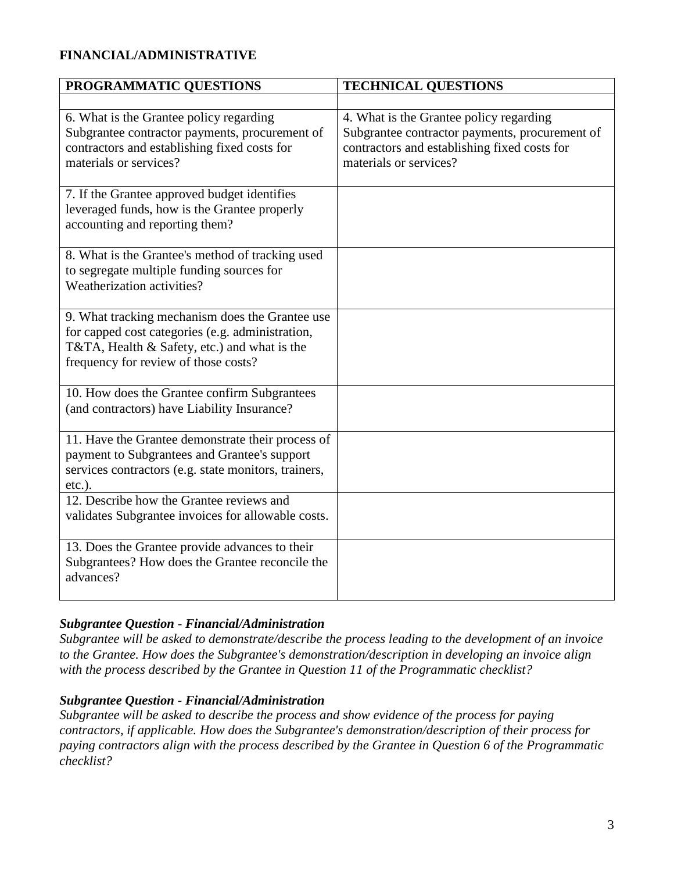# **FINANCIAL/ADMINISTRATIVE**

| PROGRAMMATIC QUESTIONS                                                                                                                                                                      | <b>TECHNICAL QUESTIONS</b>                                                                                                                                          |
|---------------------------------------------------------------------------------------------------------------------------------------------------------------------------------------------|---------------------------------------------------------------------------------------------------------------------------------------------------------------------|
|                                                                                                                                                                                             |                                                                                                                                                                     |
| 6. What is the Grantee policy regarding<br>Subgrantee contractor payments, procurement of<br>contractors and establishing fixed costs for<br>materials or services?                         | 4. What is the Grantee policy regarding<br>Subgrantee contractor payments, procurement of<br>contractors and establishing fixed costs for<br>materials or services? |
| 7. If the Grantee approved budget identifies<br>leveraged funds, how is the Grantee properly<br>accounting and reporting them?                                                              |                                                                                                                                                                     |
| 8. What is the Grantee's method of tracking used<br>to segregate multiple funding sources for<br>Weatherization activities?                                                                 |                                                                                                                                                                     |
| 9. What tracking mechanism does the Grantee use<br>for capped cost categories (e.g. administration,<br>T&TA, Health & Safety, etc.) and what is the<br>frequency for review of those costs? |                                                                                                                                                                     |
| 10. How does the Grantee confirm Subgrantees<br>(and contractors) have Liability Insurance?                                                                                                 |                                                                                                                                                                     |
| 11. Have the Grantee demonstrate their process of<br>payment to Subgrantees and Grantee's support<br>services contractors (e.g. state monitors, trainers,<br>$etc.$ ).                      |                                                                                                                                                                     |
| 12. Describe how the Grantee reviews and<br>validates Subgrantee invoices for allowable costs.                                                                                              |                                                                                                                                                                     |
| 13. Does the Grantee provide advances to their<br>Subgrantees? How does the Grantee reconcile the<br>advances?                                                                              |                                                                                                                                                                     |

## *Subgrantee Question - Financial/Administration*

*Subgrantee will be asked to demonstrate/describe the process leading to the development of an invoice to the Grantee. How does the Subgrantee's demonstration/description in developing an invoice align with the process described by the Grantee in Question 11 of the Programmatic checklist?*

## *Subgrantee Question - Financial/Administration*

*Subgrantee will be asked to describe the process and show evidence of the process for paying contractors, if applicable. How does the Subgrantee's demonstration/description of their process for paying contractors align with the process described by the Grantee in Question 6 of the Programmatic checklist?*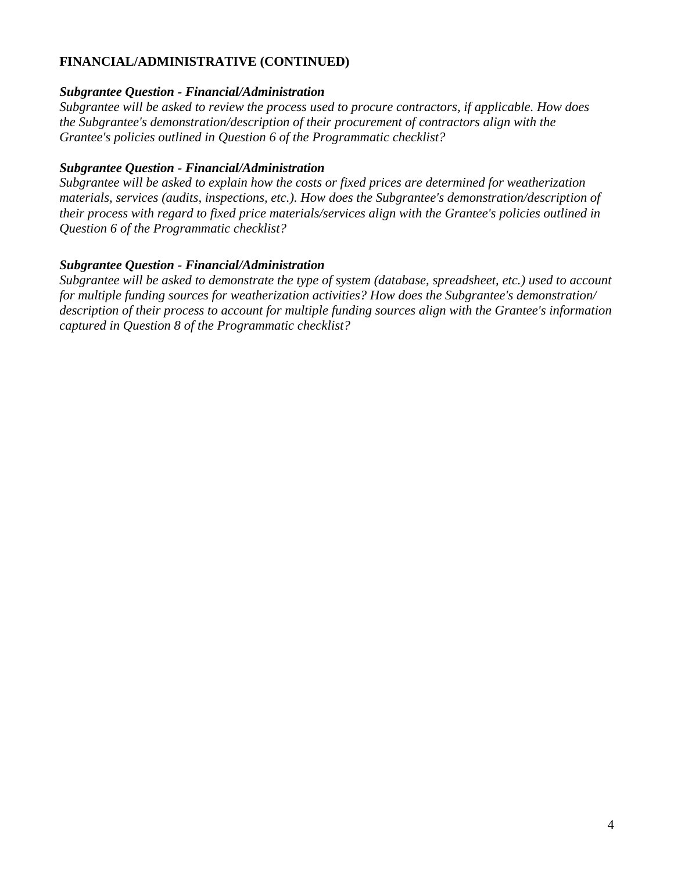## **FINANCIAL/ADMINISTRATIVE (CONTINUED)**

#### *Subgrantee Question - Financial/Administration*

*Subgrantee will be asked to review the process used to procure contractors, if applicable. How does the Subgrantee's demonstration/description of their procurement of contractors align with the Grantee's policies outlined in Question 6 of the Programmatic checklist?*

#### *Subgrantee Question - Financial/Administration*

*Subgrantee will be asked to explain how the costs or fixed prices are determined for weatherization materials, services (audits, inspections, etc.). How does the Subgrantee's demonstration/description of their process with regard to fixed price materials/services align with the Grantee's policies outlined in Question 6 of the Programmatic checklist?*

#### *Subgrantee Question - Financial/Administration*

*Subgrantee will be asked to demonstrate the type of system (database, spreadsheet, etc.) used to account for multiple funding sources for weatherization activities? How does the Subgrantee's demonstration/ description of their process to account for multiple funding sources align with the Grantee's information captured in Question 8 of the Programmatic checklist?*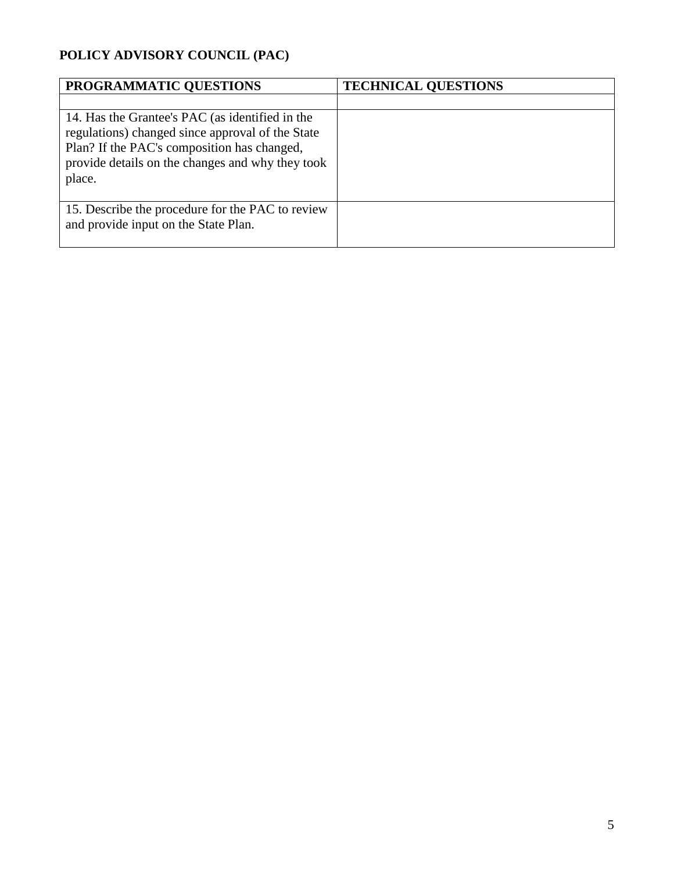# **POLICY ADVISORY COUNCIL (PAC)**

| PROGRAMMATIC QUESTIONS                                                                                                                                                                                           | <b>TECHNICAL QUESTIONS</b> |
|------------------------------------------------------------------------------------------------------------------------------------------------------------------------------------------------------------------|----------------------------|
|                                                                                                                                                                                                                  |                            |
| 14. Has the Grantee's PAC (as identified in the<br>regulations) changed since approval of the State<br>Plan? If the PAC's composition has changed,<br>provide details on the changes and why they took<br>place. |                            |
| 15. Describe the procedure for the PAC to review<br>and provide input on the State Plan.                                                                                                                         |                            |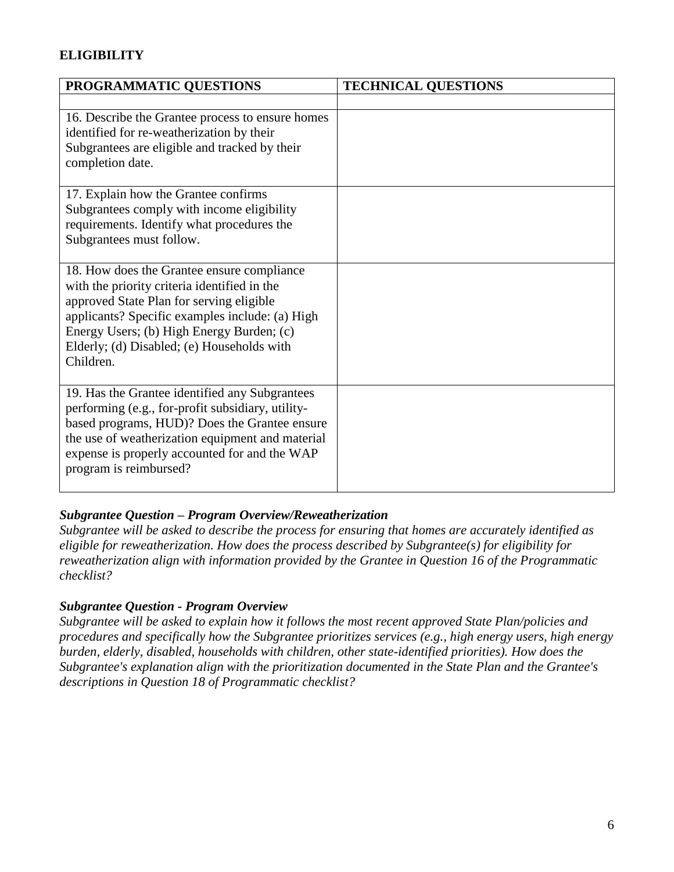# **ELIGIBILITY**

| PROGRAMMATIC QUESTIONS                                                                                                                                             | <b>TECHNICAL QUESTIONS</b> |
|--------------------------------------------------------------------------------------------------------------------------------------------------------------------|----------------------------|
|                                                                                                                                                                    |                            |
| 16. Describe the Grantee process to ensure homes<br>identified for re-weatherization by their<br>Subgrantees are eligible and tracked by their<br>completion date. |                            |
| 17. Explain how the Grantee confirms                                                                                                                               |                            |
| Subgrantees comply with income eligibility<br>requirements. Identify what procedures the                                                                           |                            |
| Subgrantees must follow.                                                                                                                                           |                            |
|                                                                                                                                                                    |                            |
| 18. How does the Grantee ensure compliance                                                                                                                         |                            |
| with the priority criteria identified in the<br>approved State Plan for serving eligible                                                                           |                            |
| applicants? Specific examples include: (a) High                                                                                                                    |                            |
| Energy Users; (b) High Energy Burden; (c)                                                                                                                          |                            |
| Elderly; (d) Disabled; (e) Households with                                                                                                                         |                            |
| Children.                                                                                                                                                          |                            |
| 19. Has the Grantee identified any Subgrantees                                                                                                                     |                            |
| performing (e.g., for-profit subsidiary, utility-                                                                                                                  |                            |
| based programs, HUD)? Does the Grantee ensure                                                                                                                      |                            |
| the use of weatherization equipment and material<br>expense is properly accounted for and the WAP                                                                  |                            |
| program is reimbursed?                                                                                                                                             |                            |
|                                                                                                                                                                    |                            |

## *Subgrantee Question – Program Overview/Reweatherization*

*Subgrantee will be asked to describe the process for ensuring that homes are accurately identified as eligible for reweatherization. How does the process described by Subgrantee(s) for eligibility for reweatherization align with information provided by the Grantee in Question 16 of the Programmatic checklist?*

## *Subgrantee Question - Program Overview*

*Subgrantee will be asked to explain how it follows the most recent approved State Plan/policies and procedures and specifically how the Subgrantee prioritizes services (e.g., high energy users, high energy burden, elderly, disabled, households with children, other state-identified priorities). How does the Subgrantee's explanation align with the prioritization documented in the State Plan and the Grantee's descriptions in Question 18 of Programmatic checklist?*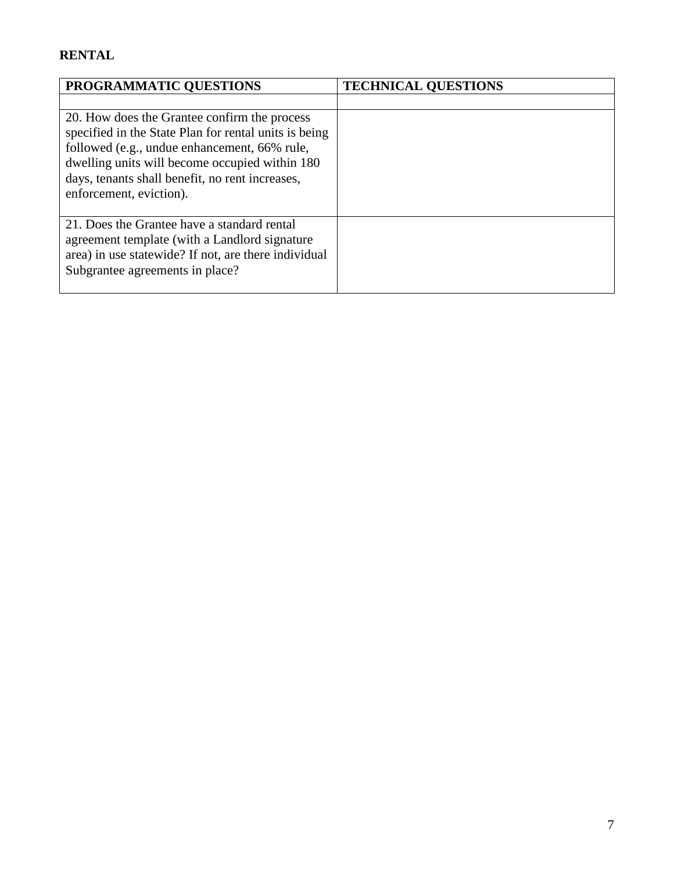# **RENTAL**

| PROGRAMMATIC QUESTIONS                                                                                                                                                                                                                                                                | <b>TECHNICAL QUESTIONS</b> |
|---------------------------------------------------------------------------------------------------------------------------------------------------------------------------------------------------------------------------------------------------------------------------------------|----------------------------|
|                                                                                                                                                                                                                                                                                       |                            |
| 20. How does the Grantee confirm the process<br>specified in the State Plan for rental units is being<br>followed (e.g., undue enhancement, 66% rule,<br>dwelling units will become occupied within 180<br>days, tenants shall benefit, no rent increases,<br>enforcement, eviction). |                            |
| 21. Does the Grantee have a standard rental<br>agreement template (with a Landlord signature)<br>area) in use statewide? If not, are there individual<br>Subgrantee agreements in place?                                                                                              |                            |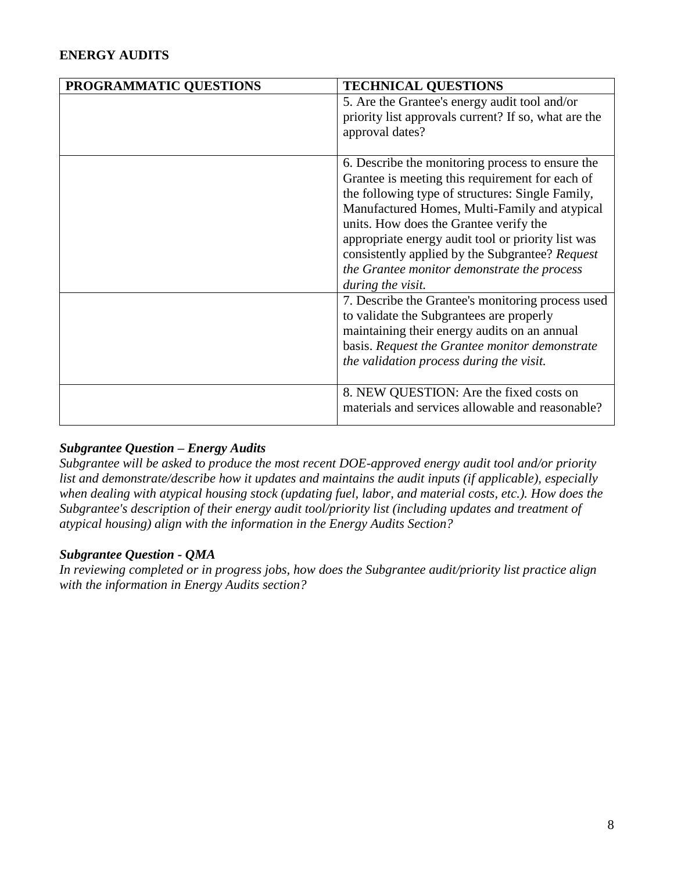# **ENERGY AUDITS**

| PROGRAMMATIC QUESTIONS | <b>TECHNICAL QUESTIONS</b>                           |
|------------------------|------------------------------------------------------|
|                        | 5. Are the Grantee's energy audit tool and/or        |
|                        | priority list approvals current? If so, what are the |
|                        | approval dates?                                      |
|                        |                                                      |
|                        | 6. Describe the monitoring process to ensure the     |
|                        | Grantee is meeting this requirement for each of      |
|                        | the following type of structures: Single Family,     |
|                        | Manufactured Homes, Multi-Family and atypical        |
|                        | units. How does the Grantee verify the               |
|                        | appropriate energy audit tool or priority list was   |
|                        | consistently applied by the Subgrantee? Request      |
|                        | the Grantee monitor demonstrate the process          |
|                        | during the visit.                                    |
|                        | 7. Describe the Grantee's monitoring process used    |
|                        | to validate the Subgrantees are properly             |
|                        | maintaining their energy audits on an annual         |
|                        | basis. Request the Grantee monitor demonstrate       |
|                        | the validation process during the visit.             |
|                        |                                                      |
|                        | 8. NEW QUESTION: Are the fixed costs on              |
|                        | materials and services allowable and reasonable?     |
|                        |                                                      |

## *Subgrantee Question – Energy Audits*

*Subgrantee will be asked to produce the most recent DOE-approved energy audit tool and/or priority list and demonstrate/describe how it updates and maintains the audit inputs (if applicable), especially when dealing with atypical housing stock (updating fuel, labor, and material costs, etc.). How does the Subgrantee's description of their energy audit tool/priority list (including updates and treatment of atypical housing) align with the information in the Energy Audits Section?*

#### *Subgrantee Question - QMA*

*In reviewing completed or in progress jobs, how does the Subgrantee audit/priority list practice align with the information in Energy Audits section?*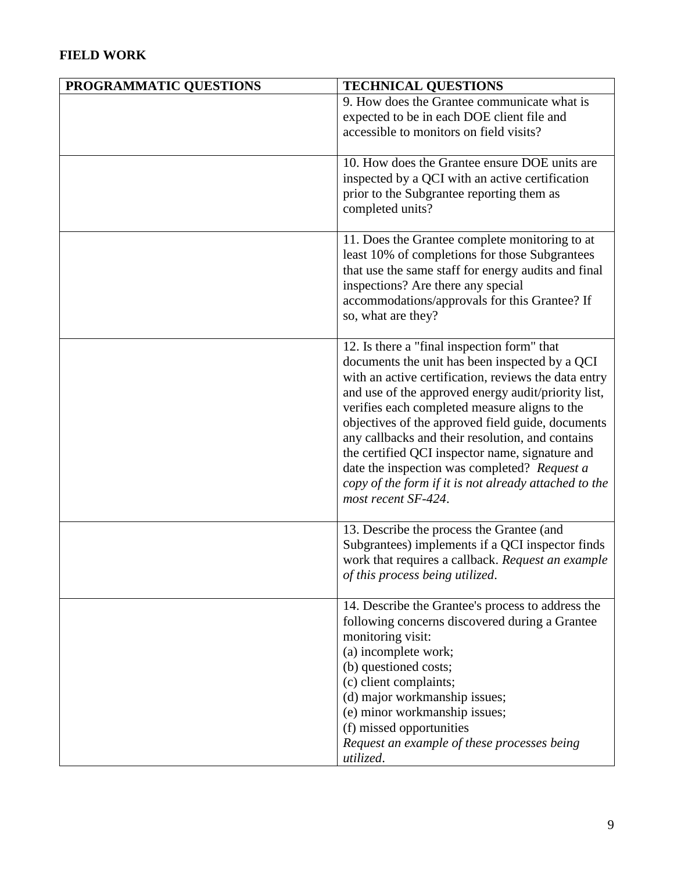# **FIELD WORK**

| PROGRAMMATIC QUESTIONS | <b>TECHNICAL QUESTIONS</b>                                                                                  |
|------------------------|-------------------------------------------------------------------------------------------------------------|
|                        | 9. How does the Grantee communicate what is                                                                 |
|                        | expected to be in each DOE client file and                                                                  |
|                        | accessible to monitors on field visits?                                                                     |
|                        |                                                                                                             |
|                        | 10. How does the Grantee ensure DOE units are                                                               |
|                        | inspected by a QCI with an active certification                                                             |
|                        | prior to the Subgrantee reporting them as                                                                   |
|                        | completed units?                                                                                            |
|                        |                                                                                                             |
|                        | 11. Does the Grantee complete monitoring to at                                                              |
|                        | least 10% of completions for those Subgrantees                                                              |
|                        | that use the same staff for energy audits and final                                                         |
|                        | inspections? Are there any special                                                                          |
|                        | accommodations/approvals for this Grantee? If                                                               |
|                        | so, what are they?                                                                                          |
|                        |                                                                                                             |
|                        | 12. Is there a "final inspection form" that                                                                 |
|                        | documents the unit has been inspected by a QCI                                                              |
|                        | with an active certification, reviews the data entry<br>and use of the approved energy audit/priority list, |
|                        | verifies each completed measure aligns to the                                                               |
|                        | objectives of the approved field guide, documents                                                           |
|                        | any callbacks and their resolution, and contains                                                            |
|                        | the certified QCI inspector name, signature and                                                             |
|                        | date the inspection was completed? Request a                                                                |
|                        | copy of the form if it is not already attached to the                                                       |
|                        | most recent SF-424.                                                                                         |
|                        |                                                                                                             |
|                        | 13. Describe the process the Grantee (and                                                                   |
|                        | Subgrantees) implements if a QCI inspector finds                                                            |
|                        | work that requires a callback. Request an example                                                           |
|                        | of this process being utilized.                                                                             |
|                        |                                                                                                             |
|                        | 14. Describe the Grantee's process to address the                                                           |
|                        | following concerns discovered during a Grantee                                                              |
|                        | monitoring visit:                                                                                           |
|                        | (a) incomplete work;                                                                                        |
|                        | (b) questioned costs;                                                                                       |
|                        | (c) client complaints;                                                                                      |
|                        | (d) major workmanship issues;                                                                               |
|                        | (e) minor workmanship issues;                                                                               |
|                        | (f) missed opportunities                                                                                    |
|                        | Request an example of these processes being                                                                 |
|                        | utilized.                                                                                                   |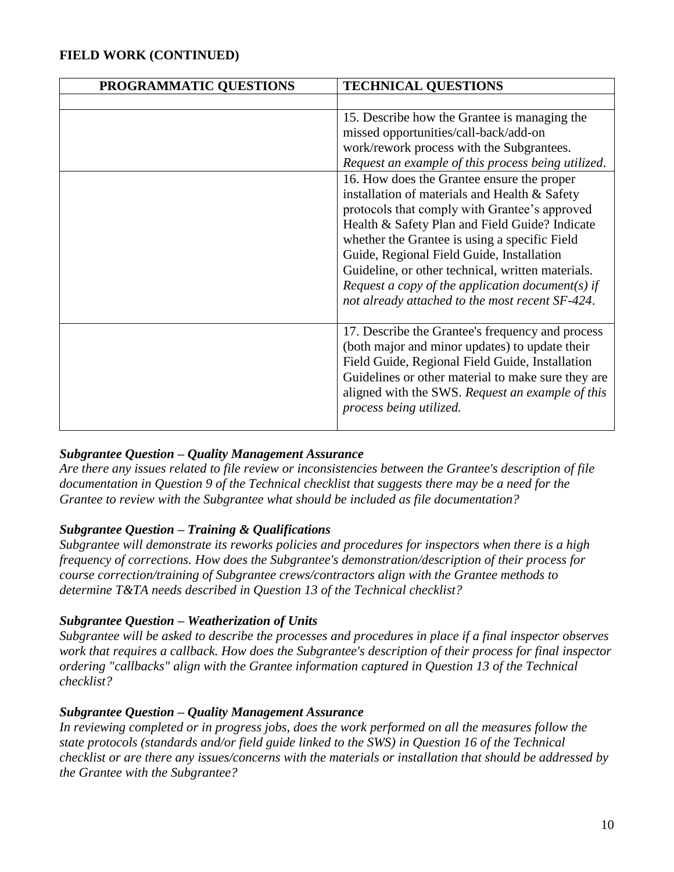# **FIELD WORK (CONTINUED)**

| PROGRAMMATIC QUESTIONS | <b>TECHNICAL QUESTIONS</b>                                                                                                                                                                                                                                                                                                                                                                                                                               |
|------------------------|----------------------------------------------------------------------------------------------------------------------------------------------------------------------------------------------------------------------------------------------------------------------------------------------------------------------------------------------------------------------------------------------------------------------------------------------------------|
|                        |                                                                                                                                                                                                                                                                                                                                                                                                                                                          |
|                        | 15. Describe how the Grantee is managing the<br>missed opportunities/call-back/add-on<br>work/rework process with the Subgrantees.<br>Request an example of this process being utilized.                                                                                                                                                                                                                                                                 |
|                        | 16. How does the Grantee ensure the proper<br>installation of materials and Health & Safety<br>protocols that comply with Grantee's approved<br>Health & Safety Plan and Field Guide? Indicate<br>whether the Grantee is using a specific Field<br>Guide, Regional Field Guide, Installation<br>Guideline, or other technical, written materials.<br>Request a copy of the application document(s) if<br>not already attached to the most recent SF-424. |
|                        | 17. Describe the Grantee's frequency and process<br>(both major and minor updates) to update their<br>Field Guide, Regional Field Guide, Installation<br>Guidelines or other material to make sure they are<br>aligned with the SWS. Request an example of this<br>process being utilized.                                                                                                                                                               |

## *Subgrantee Question – Quality Management Assurance*

*Are there any issues related to file review or inconsistencies between the Grantee's description of file documentation in Question 9 of the Technical checklist that suggests there may be a need for the Grantee to review with the Subgrantee what should be included as file documentation?*

#### *Subgrantee Question – Training & Qualifications*

*Subgrantee will demonstrate its reworks policies and procedures for inspectors when there is a high frequency of corrections. How does the Subgrantee's demonstration/description of their process for course correction/training of Subgrantee crews/contractors align with the Grantee methods to determine T&TA needs described in Question 13 of the Technical checklist?*

#### *Subgrantee Question – Weatherization of Units*

*Subgrantee will be asked to describe the processes and procedures in place if a final inspector observes work that requires a callback. How does the Subgrantee's description of their process for final inspector ordering "callbacks" align with the Grantee information captured in Question 13 of the Technical checklist?*

#### *Subgrantee Question – Quality Management Assurance*

In reviewing completed or in progress jobs, does the work performed on all the measures follow the *state protocols (standards and/or field guide linked to the SWS) in Question 16 of the Technical checklist or are there any issues/concerns with the materials or installation that should be addressed by the Grantee with the Subgrantee?*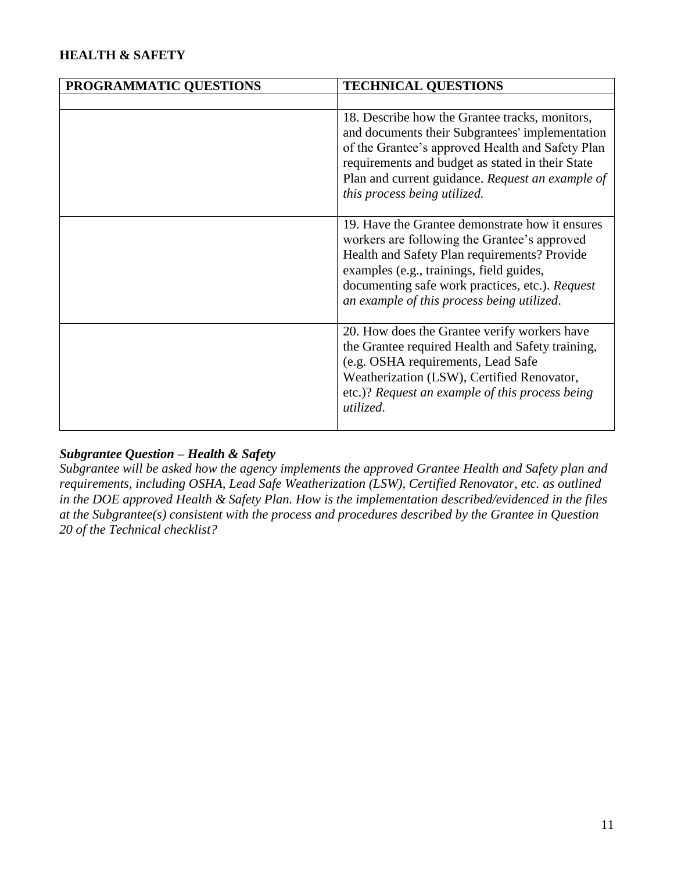# **HEALTH & SAFETY**

| PROGRAMMATIC QUESTIONS | <b>TECHNICAL QUESTIONS</b>                                                                                                                                                                                                                                                                    |
|------------------------|-----------------------------------------------------------------------------------------------------------------------------------------------------------------------------------------------------------------------------------------------------------------------------------------------|
|                        |                                                                                                                                                                                                                                                                                               |
|                        | 18. Describe how the Grantee tracks, monitors,<br>and documents their Subgrantees' implementation<br>of the Grantee's approved Health and Safety Plan<br>requirements and budget as stated in their State<br>Plan and current guidance. Request an example of<br>this process being utilized. |
|                        | 19. Have the Grantee demonstrate how it ensures<br>workers are following the Grantee's approved<br>Health and Safety Plan requirements? Provide<br>examples (e.g., trainings, field guides,<br>documenting safe work practices, etc.). Request<br>an example of this process being utilized.  |
|                        | 20. How does the Grantee verify workers have<br>the Grantee required Health and Safety training,<br>(e.g. OSHA requirements, Lead Safe<br>Weatherization (LSW), Certified Renovator,<br>etc.)? Request an example of this process being<br>utilized.                                          |

## *Subgrantee Question – Health & Safety*

*Subgrantee will be asked how the agency implements the approved Grantee Health and Safety plan and requirements, including OSHA, Lead Safe Weatherization (LSW), Certified Renovator, etc. as outlined in the DOE approved Health & Safety Plan. How is the implementation described/evidenced in the files at the Subgrantee(s) consistent with the process and procedures described by the Grantee in Question 20 of the Technical checklist?*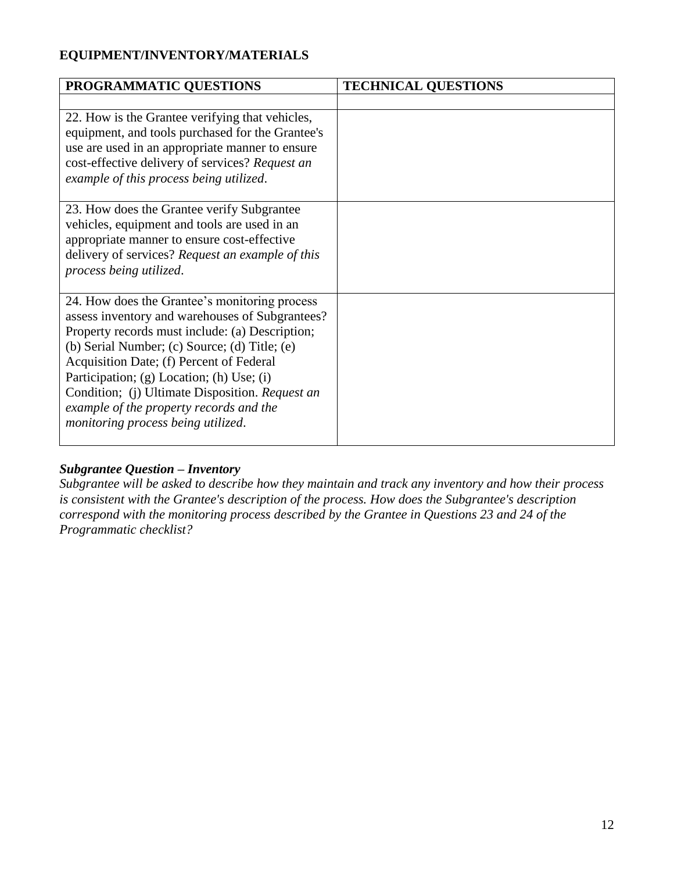# **EQUIPMENT/INVENTORY/MATERIALS**

| PROGRAMMATIC QUESTIONS                                                                                                                                                                                                                                                                                                                                                                                                            | <b>TECHNICAL QUESTIONS</b> |
|-----------------------------------------------------------------------------------------------------------------------------------------------------------------------------------------------------------------------------------------------------------------------------------------------------------------------------------------------------------------------------------------------------------------------------------|----------------------------|
|                                                                                                                                                                                                                                                                                                                                                                                                                                   |                            |
| 22. How is the Grantee verifying that vehicles,<br>equipment, and tools purchased for the Grantee's<br>use are used in an appropriate manner to ensure<br>cost-effective delivery of services? Request an<br>example of this process being utilized.                                                                                                                                                                              |                            |
| 23. How does the Grantee verify Subgrantee<br>vehicles, equipment and tools are used in an<br>appropriate manner to ensure cost-effective<br>delivery of services? Request an example of this<br>process being utilized.                                                                                                                                                                                                          |                            |
| 24. How does the Grantee's monitoring process<br>assess inventory and warehouses of Subgrantees?<br>Property records must include: (a) Description;<br>(b) Serial Number; (c) Source; (d) Title; (e)<br>Acquisition Date; (f) Percent of Federal<br>Participation; (g) Location; (h) Use; (i)<br>Condition; (j) Ultimate Disposition. Request an<br>example of the property records and the<br>monitoring process being utilized. |                            |

## *Subgrantee Question – Inventory*

*Subgrantee will be asked to describe how they maintain and track any inventory and how their process is consistent with the Grantee's description of the process. How does the Subgrantee's description correspond with the monitoring process described by the Grantee in Questions 23 and 24 of the Programmatic checklist?*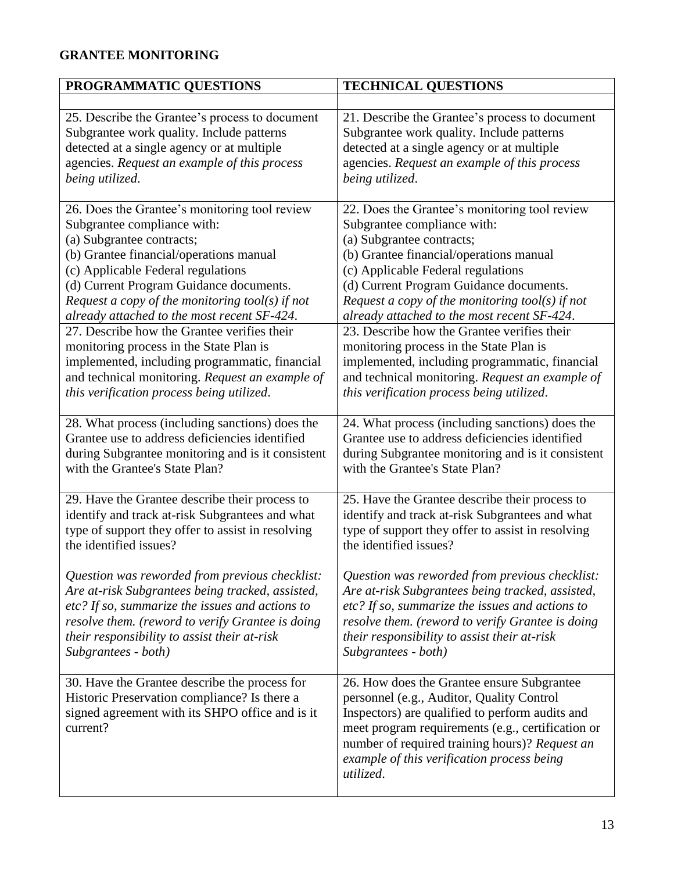# **GRANTEE MONITORING**

| PROGRAMMATIC QUESTIONS                                                                                                                                       | <b>TECHNICAL QUESTIONS</b>                                                                                                                                                                                                                                                                                   |
|--------------------------------------------------------------------------------------------------------------------------------------------------------------|--------------------------------------------------------------------------------------------------------------------------------------------------------------------------------------------------------------------------------------------------------------------------------------------------------------|
|                                                                                                                                                              |                                                                                                                                                                                                                                                                                                              |
| 25. Describe the Grantee's process to document                                                                                                               | 21. Describe the Grantee's process to document                                                                                                                                                                                                                                                               |
| Subgrantee work quality. Include patterns                                                                                                                    | Subgrantee work quality. Include patterns                                                                                                                                                                                                                                                                    |
| detected at a single agency or at multiple                                                                                                                   | detected at a single agency or at multiple                                                                                                                                                                                                                                                                   |
| agencies. Request an example of this process                                                                                                                 | agencies. Request an example of this process                                                                                                                                                                                                                                                                 |
| being utilized.                                                                                                                                              | being utilized.                                                                                                                                                                                                                                                                                              |
| 26. Does the Grantee's monitoring tool review                                                                                                                | 22. Does the Grantee's monitoring tool review                                                                                                                                                                                                                                                                |
| Subgrantee compliance with:                                                                                                                                  | Subgrantee compliance with:                                                                                                                                                                                                                                                                                  |
| (a) Subgrantee contracts;                                                                                                                                    | (a) Subgrantee contracts;                                                                                                                                                                                                                                                                                    |
| (b) Grantee financial/operations manual                                                                                                                      | (b) Grantee financial/operations manual                                                                                                                                                                                                                                                                      |
| (c) Applicable Federal regulations                                                                                                                           | (c) Applicable Federal regulations                                                                                                                                                                                                                                                                           |
| (d) Current Program Guidance documents.                                                                                                                      | (d) Current Program Guidance documents.                                                                                                                                                                                                                                                                      |
| Request a copy of the monitoring tool(s) if not                                                                                                              | Request a copy of the monitoring tool(s) if not                                                                                                                                                                                                                                                              |
| already attached to the most recent SF-424.                                                                                                                  | already attached to the most recent SF-424.                                                                                                                                                                                                                                                                  |
| 27. Describe how the Grantee verifies their                                                                                                                  | 23. Describe how the Grantee verifies their                                                                                                                                                                                                                                                                  |
| monitoring process in the State Plan is                                                                                                                      | monitoring process in the State Plan is                                                                                                                                                                                                                                                                      |
| implemented, including programmatic, financial                                                                                                               | implemented, including programmatic, financial                                                                                                                                                                                                                                                               |
| and technical monitoring. Request an example of                                                                                                              | and technical monitoring. Request an example of                                                                                                                                                                                                                                                              |
| this verification process being utilized.                                                                                                                    | this verification process being utilized.                                                                                                                                                                                                                                                                    |
| 28. What process (including sanctions) does the                                                                                                              | 24. What process (including sanctions) does the                                                                                                                                                                                                                                                              |
| Grantee use to address deficiencies identified                                                                                                               | Grantee use to address deficiencies identified                                                                                                                                                                                                                                                               |
| during Subgrantee monitoring and is it consistent                                                                                                            | during Subgrantee monitoring and is it consistent                                                                                                                                                                                                                                                            |
| with the Grantee's State Plan?                                                                                                                               | with the Grantee's State Plan?                                                                                                                                                                                                                                                                               |
| 29. Have the Grantee describe their process to                                                                                                               | 25. Have the Grantee describe their process to                                                                                                                                                                                                                                                               |
| identify and track at-risk Subgrantees and what                                                                                                              | identify and track at-risk Subgrantees and what                                                                                                                                                                                                                                                              |
| type of support they offer to assist in resolving                                                                                                            | type of support they offer to assist in resolving                                                                                                                                                                                                                                                            |
| the identified issues?                                                                                                                                       | the identified issues?                                                                                                                                                                                                                                                                                       |
| Question was reworded from previous checklist:                                                                                                               | Question was reworded from previous checklist:                                                                                                                                                                                                                                                               |
| Are at-risk Subgrantees being tracked, assisted,                                                                                                             | Are at-risk Subgrantees being tracked, assisted,                                                                                                                                                                                                                                                             |
| etc? If so, summarize the issues and actions to                                                                                                              | etc? If so, summarize the issues and actions to                                                                                                                                                                                                                                                              |
| resolve them. (reword to verify Grantee is doing                                                                                                             | resolve them. (reword to verify Grantee is doing                                                                                                                                                                                                                                                             |
| their responsibility to assist their at-risk                                                                                                                 | their responsibility to assist their at-risk                                                                                                                                                                                                                                                                 |
| Subgrantees - both)                                                                                                                                          | Subgrantees - both)                                                                                                                                                                                                                                                                                          |
| 30. Have the Grantee describe the process for<br>Historic Preservation compliance? Is there a<br>signed agreement with its SHPO office and is it<br>current? | 26. How does the Grantee ensure Subgrantee<br>personnel (e.g., Auditor, Quality Control<br>Inspectors) are qualified to perform audits and<br>meet program requirements (e.g., certification or<br>number of required training hours)? Request an<br>example of this verification process being<br>utilized. |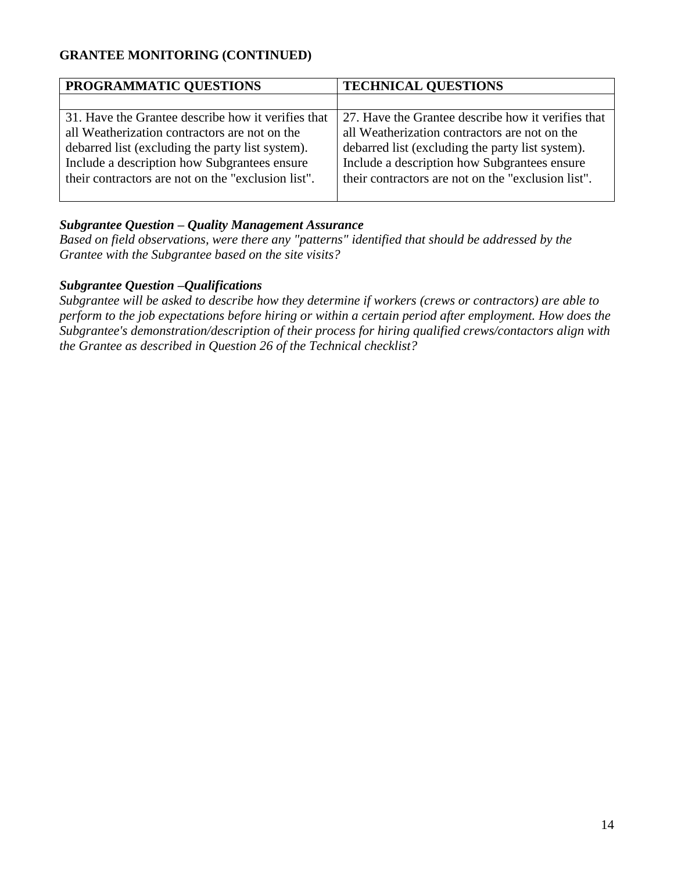# **GRANTEE MONITORING (CONTINUED)**

| PROGRAMMATIC QUESTIONS                             | <b>TECHNICAL QUESTIONS</b>                         |
|----------------------------------------------------|----------------------------------------------------|
|                                                    |                                                    |
| 31. Have the Grantee describe how it verifies that | 27. Have the Grantee describe how it verifies that |
| all Weatherization contractors are not on the      | all Weatherization contractors are not on the      |
| debarred list (excluding the party list system).   | debarred list (excluding the party list system).   |
| Include a description how Subgrantees ensure       | Include a description how Subgrantees ensure       |
| their contractors are not on the "exclusion list". | their contractors are not on the "exclusion list". |
|                                                    |                                                    |

#### *Subgrantee Question – Quality Management Assurance*

*Based on field observations, were there any "patterns" identified that should be addressed by the Grantee with the Subgrantee based on the site visits?*

#### *Subgrantee Question –Qualifications*

*Subgrantee will be asked to describe how they determine if workers (crews or contractors) are able to perform to the job expectations before hiring or within a certain period after employment. How does the Subgrantee's demonstration/description of their process for hiring qualified crews/contactors align with the Grantee as described in Question 26 of the Technical checklist?*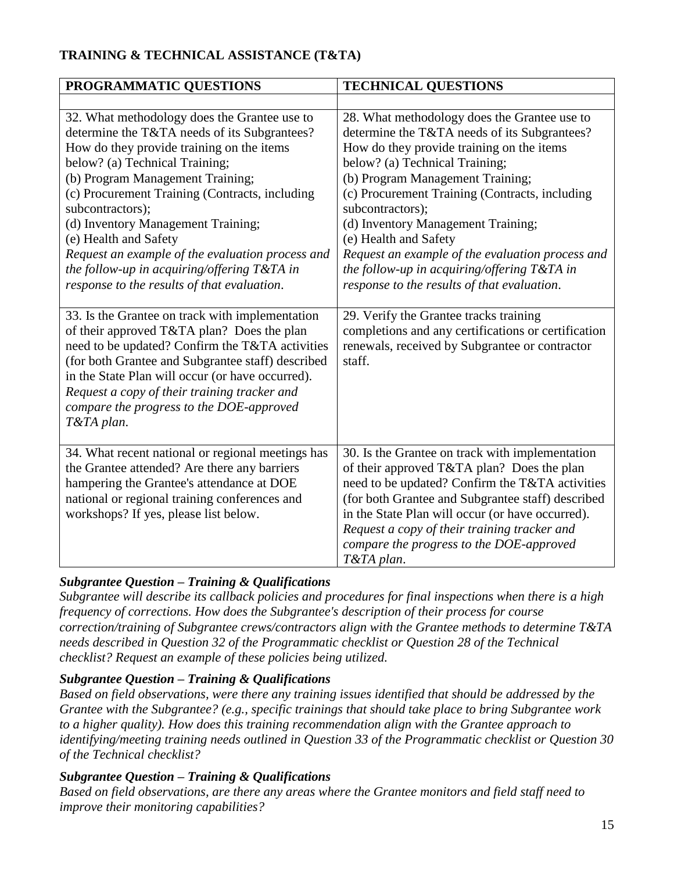# **TRAINING & TECHNICAL ASSISTANCE (T&TA)**

| PROGRAMMATIC QUESTIONS                                                                                                                                                                                                                                                                                                                                                                                                                                                                                                                                       | <b>TECHNICAL QUESTIONS</b>                                                                                                                                                                                                                                                                                                                                                                                                                                                                                                                          |
|--------------------------------------------------------------------------------------------------------------------------------------------------------------------------------------------------------------------------------------------------------------------------------------------------------------------------------------------------------------------------------------------------------------------------------------------------------------------------------------------------------------------------------------------------------------|-----------------------------------------------------------------------------------------------------------------------------------------------------------------------------------------------------------------------------------------------------------------------------------------------------------------------------------------------------------------------------------------------------------------------------------------------------------------------------------------------------------------------------------------------------|
|                                                                                                                                                                                                                                                                                                                                                                                                                                                                                                                                                              |                                                                                                                                                                                                                                                                                                                                                                                                                                                                                                                                                     |
| 32. What methodology does the Grantee use to<br>determine the T&TA needs of its Subgrantees?<br>How do they provide training on the items<br>below? (a) Technical Training;<br>(b) Program Management Training;<br>(c) Procurement Training (Contracts, including<br>subcontractors);<br>(d) Inventory Management Training;<br>(e) Health and Safety<br>Request an example of the evaluation process and<br>the follow-up in acquiring/offering $T\&TA$ in<br>response to the results of that evaluation.<br>33. Is the Grantee on track with implementation | 28. What methodology does the Grantee use to<br>determine the T&TA needs of its Subgrantees?<br>How do they provide training on the items<br>below? (a) Technical Training;<br>(b) Program Management Training;<br>(c) Procurement Training (Contracts, including<br>subcontractors);<br>(d) Inventory Management Training;<br>(e) Health and Safety<br>Request an example of the evaluation process and<br>the follow-up in acquiring/offering $T\&TA$ in<br>response to the results of that evaluation.<br>29. Verify the Grantee tracks training |
| of their approved T&TA plan? Does the plan<br>need to be updated? Confirm the T&TA activities<br>(for both Grantee and Subgrantee staff) described<br>in the State Plan will occur (or have occurred).<br>Request a copy of their training tracker and<br>compare the progress to the DOE-approved<br>T&TA plan.                                                                                                                                                                                                                                             | completions and any certifications or certification<br>renewals, received by Subgrantee or contractor<br>staff.                                                                                                                                                                                                                                                                                                                                                                                                                                     |
| 34. What recent national or regional meetings has<br>the Grantee attended? Are there any barriers<br>hampering the Grantee's attendance at DOE<br>national or regional training conferences and<br>workshops? If yes, please list below.                                                                                                                                                                                                                                                                                                                     | 30. Is the Grantee on track with implementation<br>of their approved T&TA plan? Does the plan<br>need to be updated? Confirm the T&TA activities<br>(for both Grantee and Subgrantee staff) described<br>in the State Plan will occur (or have occurred).<br>Request a copy of their training tracker and<br>compare the progress to the DOE-approved<br>T&TA plan.                                                                                                                                                                                 |

## *Subgrantee Question – Training & Qualifications*

*Subgrantee will describe its callback policies and procedures for final inspections when there is a high frequency of corrections. How does the Subgrantee's description of their process for course correction/training of Subgrantee crews/contractors align with the Grantee methods to determine T&TA needs described in Question 32 of the Programmatic checklist or Question 28 of the Technical checklist? Request an example of these policies being utilized.*

## *Subgrantee Question – Training & Qualifications*

*Based on field observations, were there any training issues identified that should be addressed by the Grantee with the Subgrantee? (e.g., specific trainings that should take place to bring Subgrantee work to a higher quality). How does this training recommendation align with the Grantee approach to identifying/meeting training needs outlined in Question 33 of the Programmatic checklist or Question 30 of the Technical checklist?*

## *Subgrantee Question – Training & Qualifications*

*Based on field observations, are there any areas where the Grantee monitors and field staff need to improve their monitoring capabilities?*